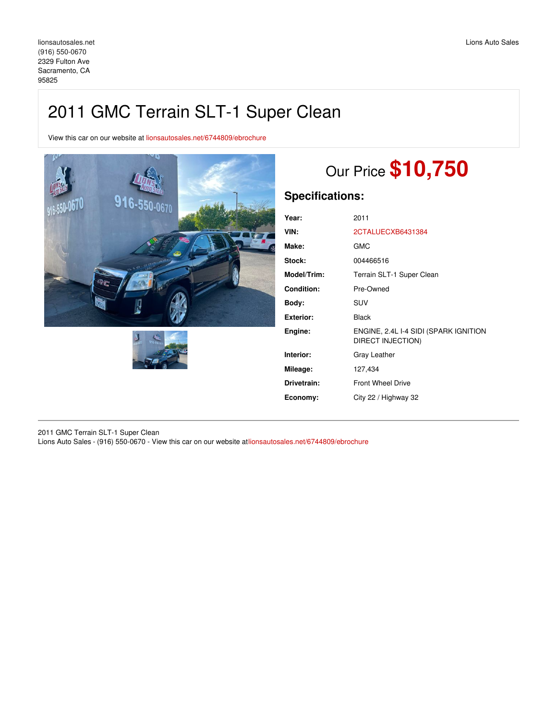## 2011 GMC Terrain SLT-1 Super Clean

View this car on our website at [lionsautosales.net/6744809/ebrochure](https://lionsautosales.net/vehicle/6744809/2011-gmc-terrain-slt-1-super-clean-sacramento-ca-95825/6744809/ebrochure)





# Our Price **\$10,750**

### **Specifications:**

| Year:              | 2011                                                       |
|--------------------|------------------------------------------------------------|
| VIN:               | 2CTALUECXB6431384                                          |
| Make:              | GMC                                                        |
| Stock:             | 004466516                                                  |
| <b>Model/Trim:</b> | Terrain SLT-1 Super Clean                                  |
| Condition:         | Pre-Owned                                                  |
| Body:              | <b>SUV</b>                                                 |
| Exterior:          | <b>Black</b>                                               |
| Engine:            | ENGINE, 2.4L I-4 SIDI (SPARK IGNITION<br>DIRECT INJECTION) |
| Interior:          | Gray Leather                                               |
| Mileage:           | 127,434                                                    |
| Drivetrain:        | <b>Front Wheel Drive</b>                                   |
| Economy:           | City 22 / Highway 32                                       |
|                    |                                                            |

2011 GMC Terrain SLT-1 Super Clean Lions Auto Sales - (916) 550-0670 - View this car on our website at[lionsautosales.net/6744809/ebrochure](https://lionsautosales.net/vehicle/6744809/2011-gmc-terrain-slt-1-super-clean-sacramento-ca-95825/6744809/ebrochure)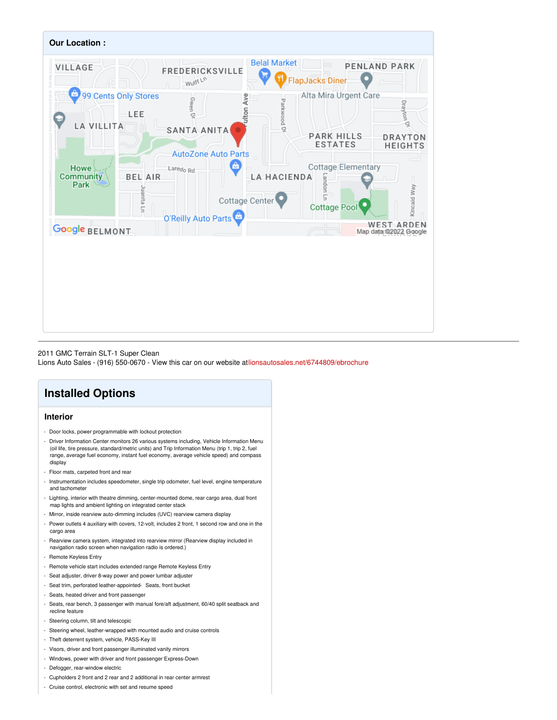

#### 2011 GMC Terrain SLT-1 Super Clean

Lions Auto Sales - (916) 550-0670 - View this car on our website at[lionsautosales.net/6744809/ebrochure](https://lionsautosales.net/vehicle/6744809/2011-gmc-terrain-slt-1-super-clean-sacramento-ca-95825/6744809/ebrochure)

## **Installed Options**

#### **Interior**

- Door locks, power programmable with lockout protection
- Driver Information Center monitors 26 various systems including, Vehicle Information Menu (oil life, tire pressure, standard/metric units) and Trip Information Menu (trip 1, trip 2, fuel range, average fuel economy, instant fuel economy, average vehicle speed) and compass display
- Floor mats, carpeted front and rear
- Instrumentation includes speedometer, single trip odometer, fuel level, engine temperature and tachometer
- Lighting, interior with theatre dimming, center-mounted dome, rear cargo area, dual front map lights and ambient lighting on integrated center stack
- Mirror, inside rearview auto-dimming includes (UVC) rearview camera display
- Power outlets 4 auxiliary with covers, 12-volt, includes 2 front, 1 second row and one in the cargo area
- Rearview camera system, integrated into rearview mirror (Rearview display included in navigation radio screen when navigation radio is ordered.)
- Remote Keyless Entry
- Remote vehicle start includes extended range Remote Keyless Entry
- Seat adjuster, driver 8-way power and power lumbar adjuster
- Seat trim, perforated leather-appointed- Seats, front bucket
- Seats, heated driver and front passenger
- Seats, rear bench, 3 passenger with manual fore/aft adjustment, 60/40 split seatback and recline feature
- Steering column, tilt and telescopic
- Steering wheel, leather-wrapped with mounted audio and cruise controls
- Theft deterrent system, vehicle, PASS-Key III
- Visors, driver and front passenger illuminated vanity mirrors
- Windows, power with driver and front passenger Express-Down
- Defogger, rear-window electric
- Cupholders 2 front and 2 rear and 2 additional in rear center armrest
- Cruise control, electronic with set and resume speed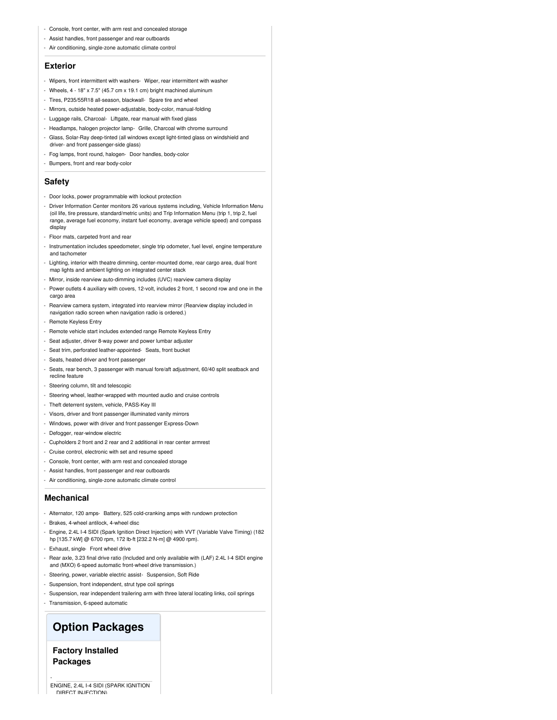- Console, front center, with arm rest and concealed storage
- Assist handles, front passenger and rear outboards
- Air conditioning, single-zone automatic climate control

#### **Exterior**

- Wipers, front intermittent with washers- Wiper, rear intermittent with washer
- Wheels, 4 18" x 7.5" (45.7 cm x 19.1 cm) bright machined aluminum
- Tires, P235/55R18 all-season, blackwall- Spare tire and wheel
- Mirrors, outside heated power-adjustable, body-color, manual-folding
- Luggage rails, Charcoal- Liftgate, rear manual with fixed glass
- Headlamps, halogen projector lamp- Grille, Charcoal with chrome surround
- Glass, Solar-Ray deep-tinted (all windows except light-tinted glass on windshield and driver- and front passenger-side glass)
- Fog lamps, front round, halogen- Door handles, body-color
- Bumpers, front and rear body-color

#### **Safety**

- Door locks, power programmable with lockout protection
- Driver Information Center monitors 26 various systems including, Vehicle Information Menu (oil life, tire pressure, standard/metric units) and Trip Information Menu (trip 1, trip 2, fuel range, average fuel economy, instant fuel economy, average vehicle speed) and compass display
- Floor mats, carpeted front and rear
- Instrumentation includes speedometer, single trip odometer, fuel level, engine temperature and tachometer
- Lighting, interior with theatre dimming, center-mounted dome, rear cargo area, dual front map lights and ambient lighting on integrated center stack
- Mirror, inside rearview auto-dimming includes (UVC) rearview camera display
- Power outlets 4 auxiliary with covers, 12-volt, includes 2 front, 1 second row and one in the cargo area
- Rearview camera system, integrated into rearview mirror (Rearview display included in navigation radio screen when navigation radio is ordered.)
- Remote Keyless Entry
- Remote vehicle start includes extended range Remote Keyless Entry
- Seat adjuster, driver 8-way power and power lumbar adjuster
- Seat trim, perforated leather-appointed- Seats, front bucket
- Seats, heated driver and front passenger
- Seats, rear bench, 3 passenger with manual fore/aft adjustment, 60/40 split seatback and recline feature
- Steering column, tilt and telescopic
- Steering wheel, leather-wrapped with mounted audio and cruise controls
- Theft deterrent system, vehicle, PASS-Key III
- Visors, driver and front passenger illuminated vanity mirrors
- Windows, power with driver and front passenger Express-Down
- Defogger, rear-window electric
- Cupholders 2 front and 2 rear and 2 additional in rear center armrest
- Cruise control, electronic with set and resume speed
- Console, front center, with arm rest and concealed storage
- Assist handles, front passenger and rear outboards
- Air conditioning, single-zone automatic climate control

#### **Mechanical**

- Alternator, 120 amps- Battery, 525 cold-cranking amps with rundown protection
- Brakes, 4-wheel antilock, 4-wheel disc
- Engine, 2.4L I-4 SIDI (Spark Ignition Direct Injection) with VVT (Variable Valve Timing) (182 hp [135.7 kW] @ 6700 rpm, 172 lb-ft [232.2 N-m] @ 4900 rpm).
- Exhaust, single-Front wheel drive
- Rear axle, 3.23 final drive ratio (Included and only available with (LAF) 2.4L I-4 SIDI engine and (MXO) 6-speed automatic front-wheel drive transmission.)
- Steering, power, variable electric assist- Suspension, Soft Ride
- Suspension, front independent, strut type coil springs
- Suspension, rear independent trailering arm with three lateral locating links, coil springs
- Transmission, 6-speed automatic

### **Option Packages**

**Factory Installed Packages**

-

ENGINE, 2.4L I-4 SIDI (SPARK IGNITION DIRECT INJECTION)